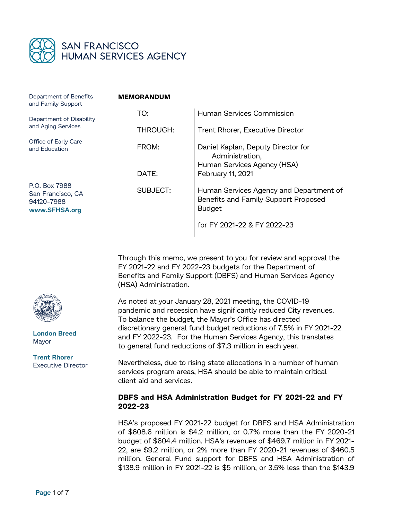

| Department of Benefits<br>and Family Support                      | <b>MEMORANDUM</b> |                                                                                                  |
|-------------------------------------------------------------------|-------------------|--------------------------------------------------------------------------------------------------|
| Department of Disability<br>and Aging Services                    | TO:               | Human Services Commission                                                                        |
|                                                                   | THROUGH:          | Trent Rhorer, Executive Director                                                                 |
| Office of Early Care<br>and Education                             | FROM:             | Daniel Kaplan, Deputy Director for<br>Administration,<br>Human Services Agency (HSA)             |
|                                                                   | DATE:             | February 11, 2021                                                                                |
| P.O. Box 7988<br>San Francisco, CA<br>94120-7988<br>www.SFHSA.org | SUBJECT:          | Human Services Agency and Department of<br>Benefits and Family Support Proposed<br><b>Budget</b> |
|                                                                   |                   | for FY 2021-22 & FY 2022-23                                                                      |

Through this memo, we present to you for review and approval the FY 2021-22 and FY 2022-23 budgets for the Department of Benefits and Family Support (DBFS) and Human Services Agency (HSA) Administration.

As noted at your January 28, 2021 meeting, the COVID-19 pandemic and recession have significantly reduced City revenues. To balance the budget, the Mayor's Office has directed discretionary general fund budget reductions of 7.5% in FY 2021-22 and FY 2022-23. For the Human Services Agency, this translates to general fund reductions of \$7.3 million in each year.

Nevertheless, due to rising state allocations in a number of human services program areas, HSA should be able to maintain critical client aid and services.

# **DBFS and HSA Administration Budget for FY 2021-22 and FY 2022-23**

HSA's proposed FY 2021-22 budget for DBFS and HSA Administration of \$608.6 million is \$4.2 million, or 0.7% more than the FY 2020-21 budget of \$604.4 million. HSA's revenues of \$469.7 million in FY 2021- 22, are \$9.2 million, or 2% more than FY 2020-21 revenues of \$460.5 million. General Fund support for DBFS and HSA Administration of \$138.9 million in FY 2021-22 is \$5 million, or 3.5% less than the \$143.9



**London Breed** Mayor

**Trent Rhorer** Executive Director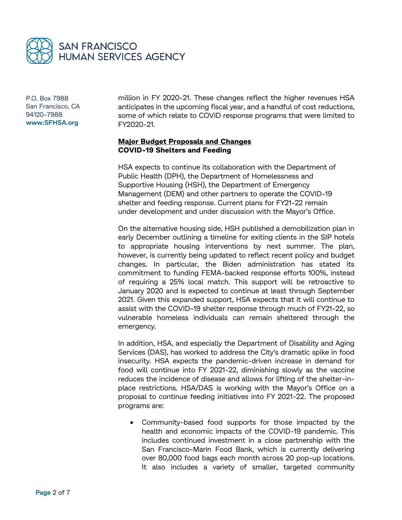

million in FY 2020-21. These changes reflect the higher revenues HSA anticipates in the upcoming fiscal year, and a handful of cost reductions, some of which relate to COVID response programs that were limited to FY2020-21.

### **Major Budget Proposals and Changes COVID-19 Shelters and Feeding**

HSA expects to continue its collaboration with the Department of Public Health (DPH), the Department of Homelessness and Supportive Housing (HSH), the Department of Emergency Management (DEM) and other partners to operate the COVID-19 shelter and feeding response. Current plans for FY21-22 remain under development and under discussion with the Mayor's Office.

On the alternative housing side, HSH published a demobilization plan in early December outlining a timeline for exiting clients in the SIP hotels to appropriate housing interventions by next summer. The plan, however, is currently being updated to reflect recent policy and budget changes. In particular, the Biden administration has stated its commitment to funding FEMA-backed response efforts 100%, instead of requiring a 25% local match. This support will be retroactive to January 2020 and is expected to continue at least through September 2021. Given this expanded support, HSA expects that it will continue to assist with the COVID-19 shelter response through much of FY21-22, so vulnerable homeless individuals can remain sheltered through the emergency.

In addition, HSA, and especially the Department of Disability and Aging Services (DAS), has worked to address the City's dramatic spike in food insecurity. HSA expects the pandemic-driven increase in demand for food will continue into FY 2021-22, diminishing slowly as the vaccine reduces the incidence of disease and allows for lifting of the shelter-inplace restrictions. HSA/DAS is working with the Mayor's Office on a proposal to continue feeding initiatives into FY 2021-22. The proposed programs are:

 Community-based food supports for those impacted by the health and economic impacts of the COVID-19 pandemic. This includes continued investment in a close partnership with the San Francisco-Marin Food Bank, which is currently delivering over 80,000 food bags each month across 20 pop-up locations. It also includes a variety of smaller, targeted community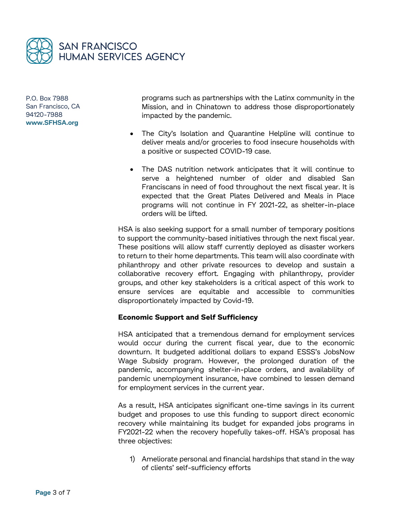

programs such as partnerships with the Latinx community in the Mission, and in Chinatown to address those disproportionately impacted by the pandemic.

- The City's Isolation and Quarantine Helpline will continue to deliver meals and/or groceries to food insecure households with a positive or suspected COVID-19 case.
- The DAS nutrition network anticipates that it will continue to serve a heightened number of older and disabled San Franciscans in need of food throughout the next fiscal year. It is expected that the Great Plates Delivered and Meals in Place programs will not continue in FY 2021-22, as shelter-in-place orders will be lifted.

HSA is also seeking support for a small number of temporary positions to support the community-based initiatives through the next fiscal year. These positions will allow staff currently deployed as disaster workers to return to their home departments. This team will also coordinate with philanthropy and other private resources to develop and sustain a collaborative recovery effort. Engaging with philanthropy, provider groups, and other key stakeholders is a critical aspect of this work to ensure services are equitable and accessible to communities disproportionately impacted by Covid-19.

#### **Economic Support and Self Sufficiency**

HSA anticipated that a tremendous demand for employment services would occur during the current fiscal year, due to the economic downturn. It budgeted additional dollars to expand ESSS's JobsNow Wage Subsidy program. However, the prolonged duration of the pandemic, accompanying shelter-in-place orders, and availability of pandemic unemployment insurance, have combined to lessen demand for employment services in the current year.

As a result, HSA anticipates significant one-time savings in its current budget and proposes to use this funding to support direct economic recovery while maintaining its budget for expanded jobs programs in FY2021-22 when the recovery hopefully takes-off. HSA's proposal has three objectives:

1) Ameliorate personal and financial hardships that stand in the way of clients' self-sufficiency efforts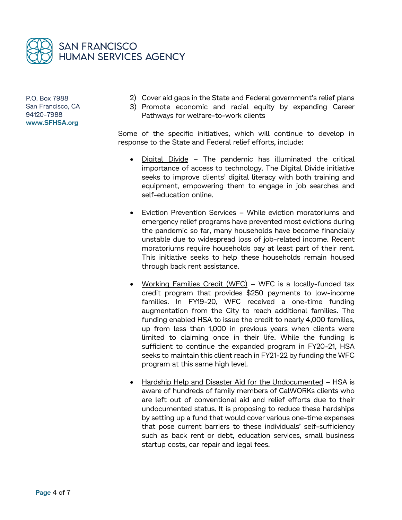

- 2) Cover aid gaps in the State and Federal government's relief plans
- 3) Promote economic and racial equity by expanding Career Pathways for welfare-to-work clients

Some of the specific initiatives, which will continue to develop in response to the State and Federal relief efforts, include:

- Digital Divide The pandemic has illuminated the critical importance of access to technology. The Digital Divide initiative seeks to improve clients' digital literacy with both training and equipment, empowering them to engage in job searches and self-education online.
- Eviction Prevention Services While eviction moratoriums and emergency relief programs have prevented most evictions during the pandemic so far, many households have become financially unstable due to widespread loss of job-related income. Recent moratoriums require households pay at least part of their rent. This initiative seeks to help these households remain housed through back rent assistance.
- Working Families Credit (WFC) WFC is a locally-funded tax credit program that provides \$250 payments to low-income families. In FY19-20, WFC received a one-time funding augmentation from the City to reach additional families. The funding enabled HSA to issue the credit to nearly 4,000 families, up from less than 1,000 in previous years when clients were limited to claiming once in their life. While the funding is sufficient to continue the expanded program in FY20-21, HSA seeks to maintain this client reach in FY21-22 by funding the WFC program at this same high level.
- Hardship Help and Disaster Aid for the Undocumented HSA is aware of hundreds of family members of CalWORKs clients who are left out of conventional aid and relief efforts due to their undocumented status. It is proposing to reduce these hardships by setting up a fund that would cover various one-time expenses that pose current barriers to these individuals' self-sufficiency such as back rent or debt, education services, small business startup costs, car repair and legal fees.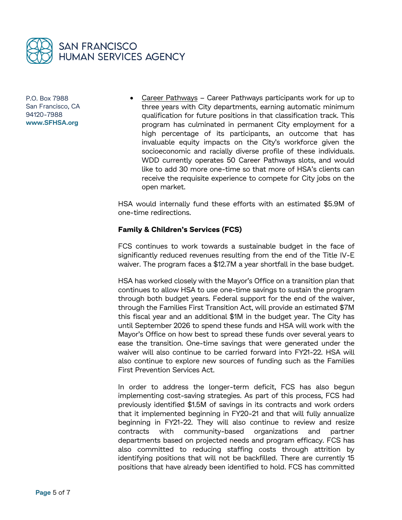

 Career Pathways – Career Pathways participants work for up to three years with City departments, earning automatic minimum qualification for future positions in that classification track. This program has culminated in permanent City employment for a high percentage of its participants, an outcome that has invaluable equity impacts on the City's workforce given the socioeconomic and racially diverse profile of these individuals. WDD currently operates 50 Career Pathways slots, and would like to add 30 more one-time so that more of HSA's clients can receive the requisite experience to compete for City jobs on the open market.

HSA would internally fund these efforts with an estimated \$5.9M of one-time redirections.

### **Family & Children's Services (FCS)**

FCS continues to work towards a sustainable budget in the face of significantly reduced revenues resulting from the end of the Title IV-E waiver. The program faces a \$12.7M a year shortfall in the base budget.

HSA has worked closely with the Mayor's Office on a transition plan that continues to allow HSA to use one-time savings to sustain the program through both budget years. Federal support for the end of the waiver, through the Families First Transition Act, will provide an estimated \$7M this fiscal year and an additional \$1M in the budget year. The City has until September 2026 to spend these funds and HSA will work with the Mayor's Office on how best to spread these funds over several years to ease the transition. One-time savings that were generated under the waiver will also continue to be carried forward into FY21-22. HSA will also continue to explore new sources of funding such as the Families First Prevention Services Act.

In order to address the longer-term deficit, FCS has also begun implementing cost-saving strategies. As part of this process, FCS had previously identified \$1.5M of savings in its contracts and work orders that it implemented beginning in FY20-21 and that will fully annualize beginning in FY21-22. They will also continue to review and resize contracts with community-based organizations and partner departments based on projected needs and program efficacy. FCS has also committed to reducing staffing costs through attrition by identifying positions that will not be backfilled. There are currently 15 positions that have already been identified to hold. FCS has committed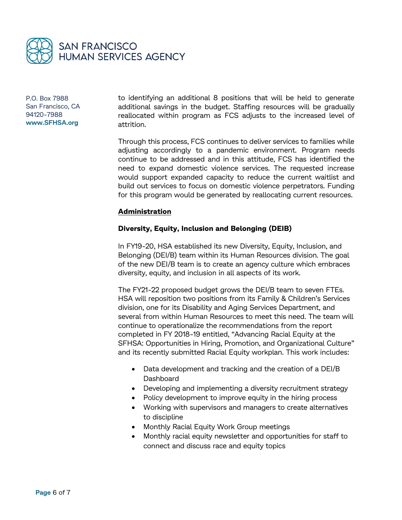

to identifying an additional 8 positions that will be held to generate additional savings in the budget. Staffing resources will be gradually reallocated within program as FCS adjusts to the increased level of attrition.

Through this process, FCS continues to deliver services to families while adjusting accordingly to a pandemic environment. Program needs continue to be addressed and in this attitude, FCS has identified the need to expand domestic violence services. The requested increase would support expanded capacity to reduce the current waitlist and build out services to focus on domestic violence perpetrators. Funding for this program would be generated by reallocating current resources.

#### **Administration**

#### **Diversity, Equity, Inclusion and Belonging (DEIB)**

In FY19-20, HSA established its new Diversity, Equity, Inclusion, and Belonging (DEI/B) team within its Human Resources division. The goal of the new DEI/B team is to create an agency culture which embraces diversity, equity, and inclusion in all aspects of its work.

The FY21-22 proposed budget grows the DEI/B team to seven FTEs. HSA will reposition two positions from its Family & Children's Services division, one for its Disability and Aging Services Department, and several from within Human Resources to meet this need. The team will continue to operationalize the recommendations from the report completed in FY 2018-19 entitled, "Advancing Racial Equity at the SFHSA: Opportunities in Hiring, Promotion, and Organizational Culture" and its recently submitted Racial Equity workplan. This work includes:

- Data development and tracking and the creation of a DEI/B Dashboard
- Developing and implementing a diversity recruitment strategy
- Policy development to improve equity in the hiring process
- Working with supervisors and managers to create alternatives to discipline
- Monthly Racial Equity Work Group meetings
- Monthly racial equity newsletter and opportunities for staff to connect and discuss race and equity topics